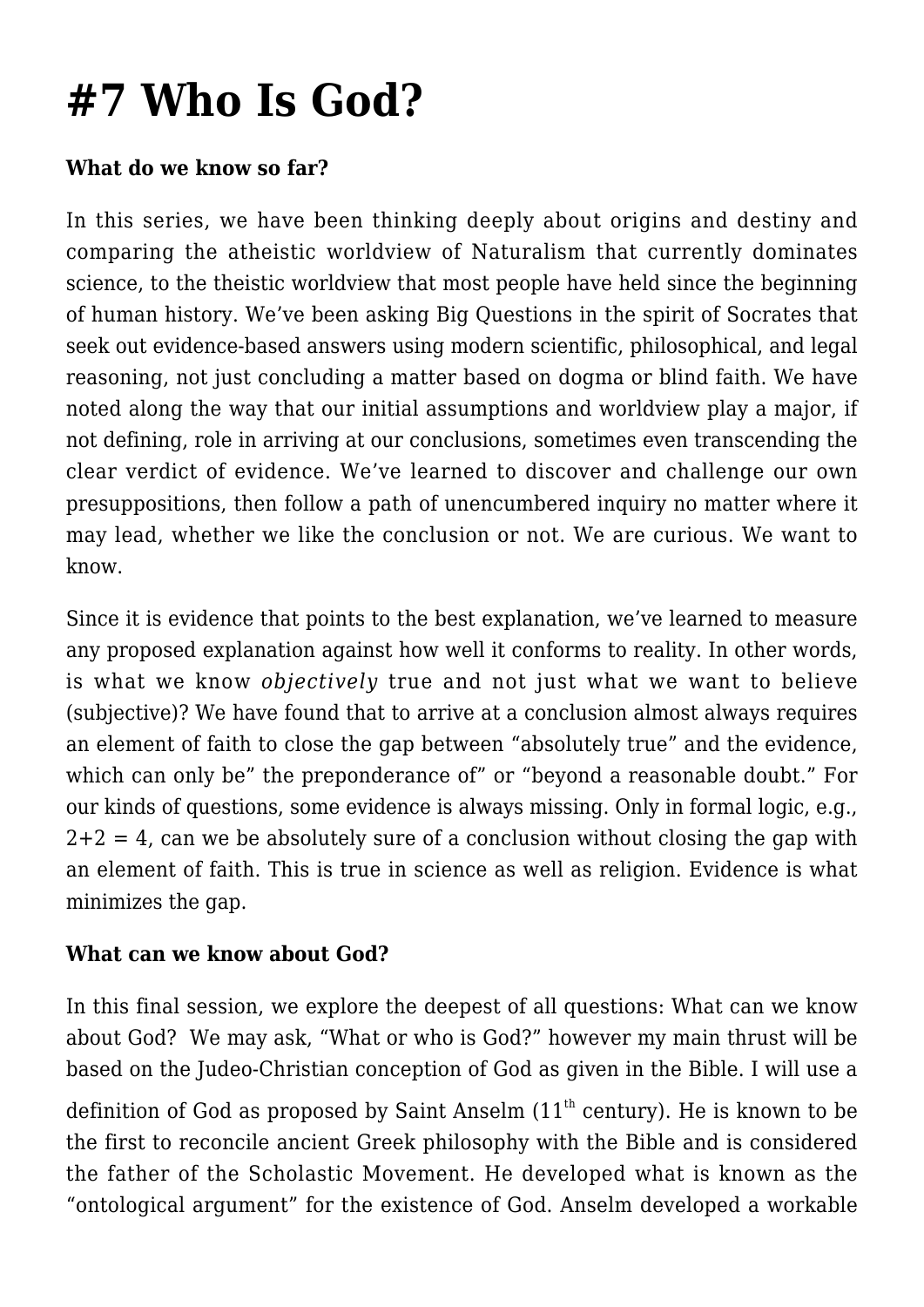# **[#7 Who Is God?](https://socratesatsaddlebrooke.club/topics/who-is-god/)**

#### **What do we know so far?**

In this series, we have been thinking deeply about origins and destiny and comparing the atheistic worldview of Naturalism that currently dominates science, to the theistic worldview that most people have held since the beginning of human history. We've been asking Big Questions in the spirit of Socrates that seek out evidence-based answers using modern scientific, philosophical, and legal reasoning, not just concluding a matter based on dogma or blind faith. We have noted along the way that our initial assumptions and worldview play a major, if not defining, role in arriving at our conclusions, sometimes even transcending the clear verdict of evidence. We've learned to discover and challenge our own presuppositions, then follow a path of unencumbered inquiry no matter where it may lead, whether we like the conclusion or not. We are curious. We want to know.

Since it is evidence that points to the best explanation, we've learned to measure any proposed explanation against how well it conforms to reality. In other words, is what we know *objectively* true and not just what we want to believe (subjective)? We have found that to arrive at a conclusion almost always requires an element of faith to close the gap between "absolutely true" and the evidence, which can only be" the preponderance of" or "beyond a reasonable doubt." For our kinds of questions, some evidence is always missing. Only in formal logic, e.g.,  $2+2 = 4$ , can we be absolutely sure of a conclusion without closing the gap with an element of faith. This is true in science as well as religion. Evidence is what minimizes the gap.

### **What can we know about God?**

In this final session, we explore the deepest of all questions: What can we know about God? We may ask, "What or who is God?" however my main thrust will be based on the Judeo-Christian conception of God as given in the Bible. I will use a definition of God as proposed by Saint Anselm  $(11<sup>th</sup>$  century). He is known to be the first to reconcile ancient Greek philosophy with the Bible and is considered the father of the Scholastic Movement. He developed what is known as the "ontological argument" for the existence of God. Anselm developed a workable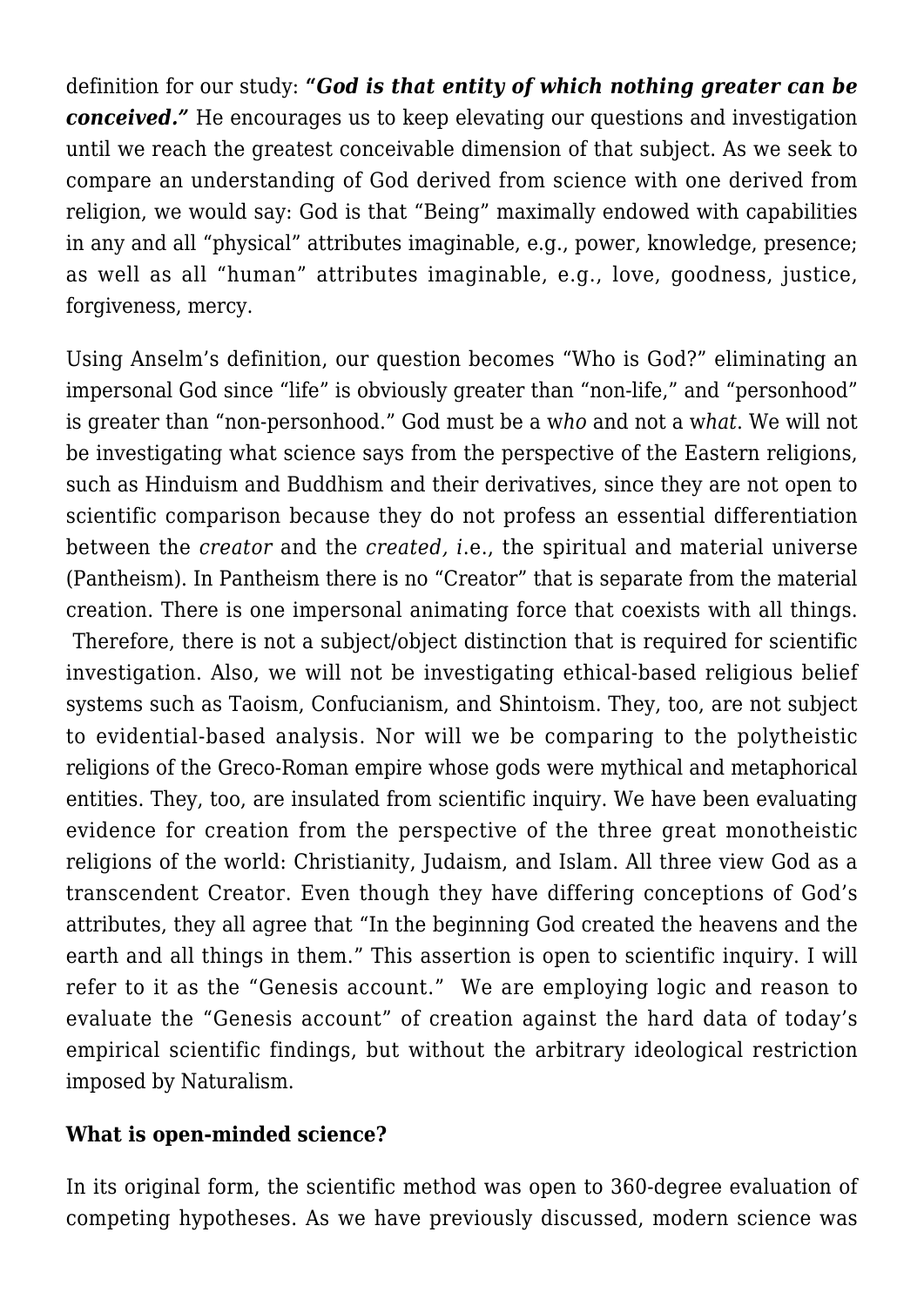definition for our study: **"***God is that entity of which nothing greater can be conceived.* He encourages us to keep elevating our questions and investigation until we reach the greatest conceivable dimension of that subject. As we seek to compare an understanding of God derived from science with one derived from religion, we would say: God is that "Being" maximally endowed with capabilities in any and all "physical" attributes imaginable, e.g., power, knowledge, presence; as well as all "human" attributes imaginable, e.g., love, goodness, justice, forgiveness, mercy.

Using Anselm's definition, our question becomes "Who is God?" eliminating an impersonal God since "life" is obviously greater than "non-life," and "personhood" is greater than "non-personhood." God must be a w*ho* and not a w*hat*. We will not be investigating what science says from the perspective of the Eastern religions, such as Hinduism and Buddhism and their derivatives, since they are not open to scientific comparison because they do not profess an essential differentiation between the *creator* and the *created, i*.e., the spiritual and material universe (Pantheism). In Pantheism there is no "Creator" that is separate from the material creation. There is one impersonal animating force that coexists with all things. Therefore, there is not a subject/object distinction that is required for scientific investigation. Also, we will not be investigating ethical-based religious belief systems such as Taoism, Confucianism, and Shintoism. They, too, are not subject to evidential-based analysis. Nor will we be comparing to the polytheistic religions of the Greco-Roman empire whose gods were mythical and metaphorical entities. They, too, are insulated from scientific inquiry. We have been evaluating evidence for creation from the perspective of the three great monotheistic religions of the world: Christianity, Judaism, and Islam. All three view God as a transcendent Creator. Even though they have differing conceptions of God's attributes, they all agree that "In the beginning God created the heavens and the earth and all things in them." This assertion is open to scientific inquiry. I will refer to it as the "Genesis account." We are employing logic and reason to evaluate the "Genesis account" of creation against the hard data of today's empirical scientific findings, but without the arbitrary ideological restriction imposed by Naturalism.

#### **What is open-minded science?**

In its original form, the scientific method was open to 360-degree evaluation of competing hypotheses. As we have previously discussed, modern science was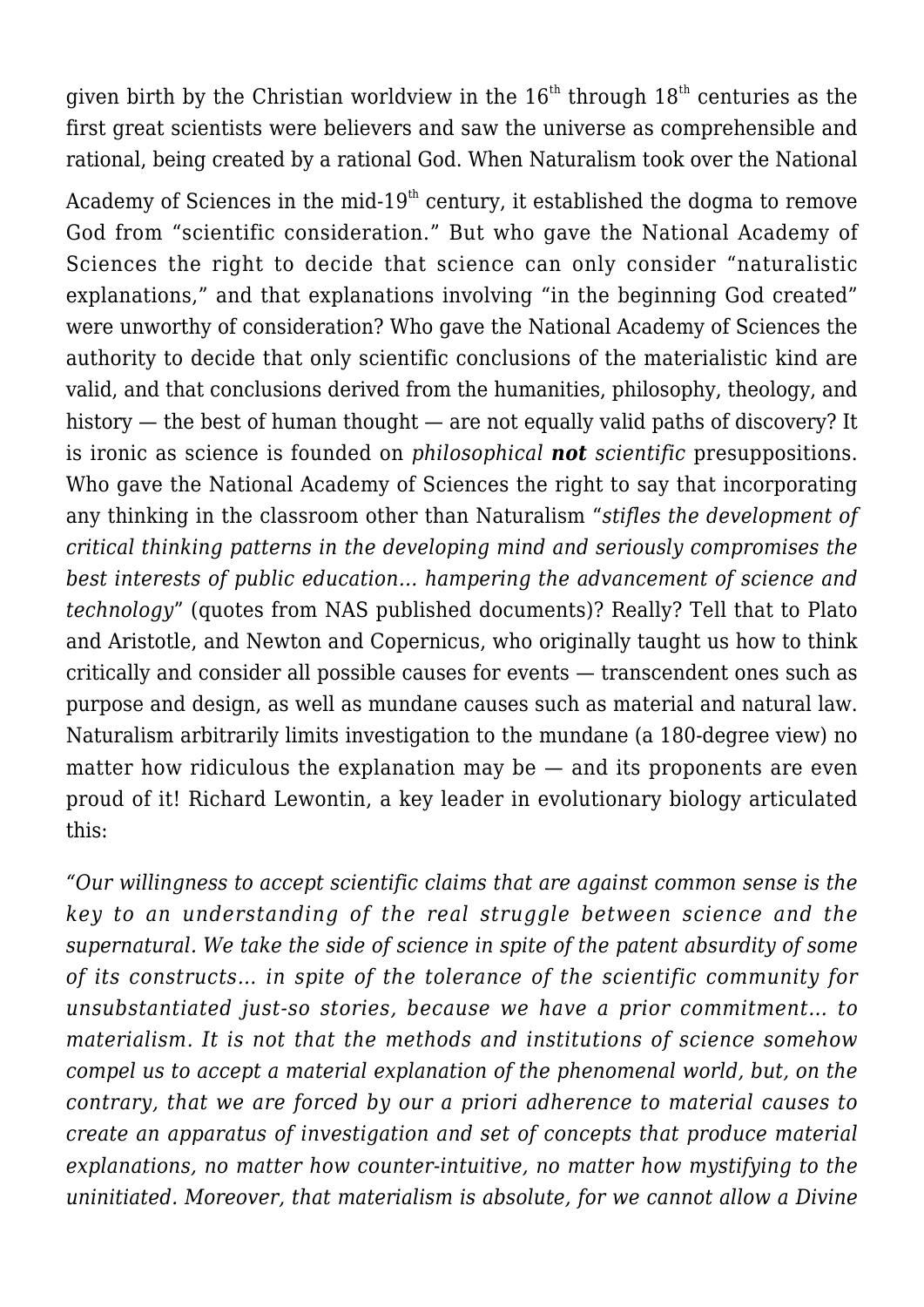given birth by the Christian worldview in the  $16<sup>th</sup>$  through  $18<sup>th</sup>$  centuries as the first great scientists were believers and saw the universe as comprehensible and rational, being created by a rational God. When Naturalism took over the National

Academy of Sciences in the mid- $19<sup>th</sup>$  century, it established the dogma to remove God from "scientific consideration." But who gave the National Academy of Sciences the right to decide that science can only consider "naturalistic explanations," and that explanations involving "in the beginning God created" were unworthy of consideration? Who gave the National Academy of Sciences the authority to decide that only scientific conclusions of the materialistic kind are valid, and that conclusions derived from the humanities, philosophy, theology, and history — the best of human thought — are not equally valid paths of discovery? It is ironic as science is founded on *philosophical not scientific* presuppositions. Who gave the National Academy of Sciences the right to say that incorporating any thinking in the classroom other than Naturalism "*stifles the development of critical thinking patterns in the developing mind and seriously compromises the best interests of public education… hampering the advancement of science and technology*" (quotes from NAS published documents)? Really? Tell that to Plato and Aristotle, and Newton and Copernicus, who originally taught us how to think critically and consider all possible causes for events — transcendent ones such as purpose and design, as well as mundane causes such as material and natural law. Naturalism arbitrarily limits investigation to the mundane (a 180-degree view) no matter how ridiculous the explanation may be  $-$  and its proponents are even proud of it! Richard Lewontin, a key leader in evolutionary biology articulated this:

*"Our willingness to accept scientific claims that are against common sense is the key to an understanding of the real struggle between science and the supernatural. We take the side of science in spite of the patent absurdity of some of its constructs… in spite of the tolerance of the scientific community for unsubstantiated just-so stories, because we have a prior commitment… to materialism. It is not that the methods and institutions of science somehow compel us to accept a material explanation of the phenomenal world, but, on the contrary, that we are forced by our a priori adherence to material causes to create an apparatus of investigation and set of concepts that produce material explanations, no matter how counter-intuitive, no matter how mystifying to the uninitiated. Moreover, that materialism is absolute, for we cannot allow a Divine*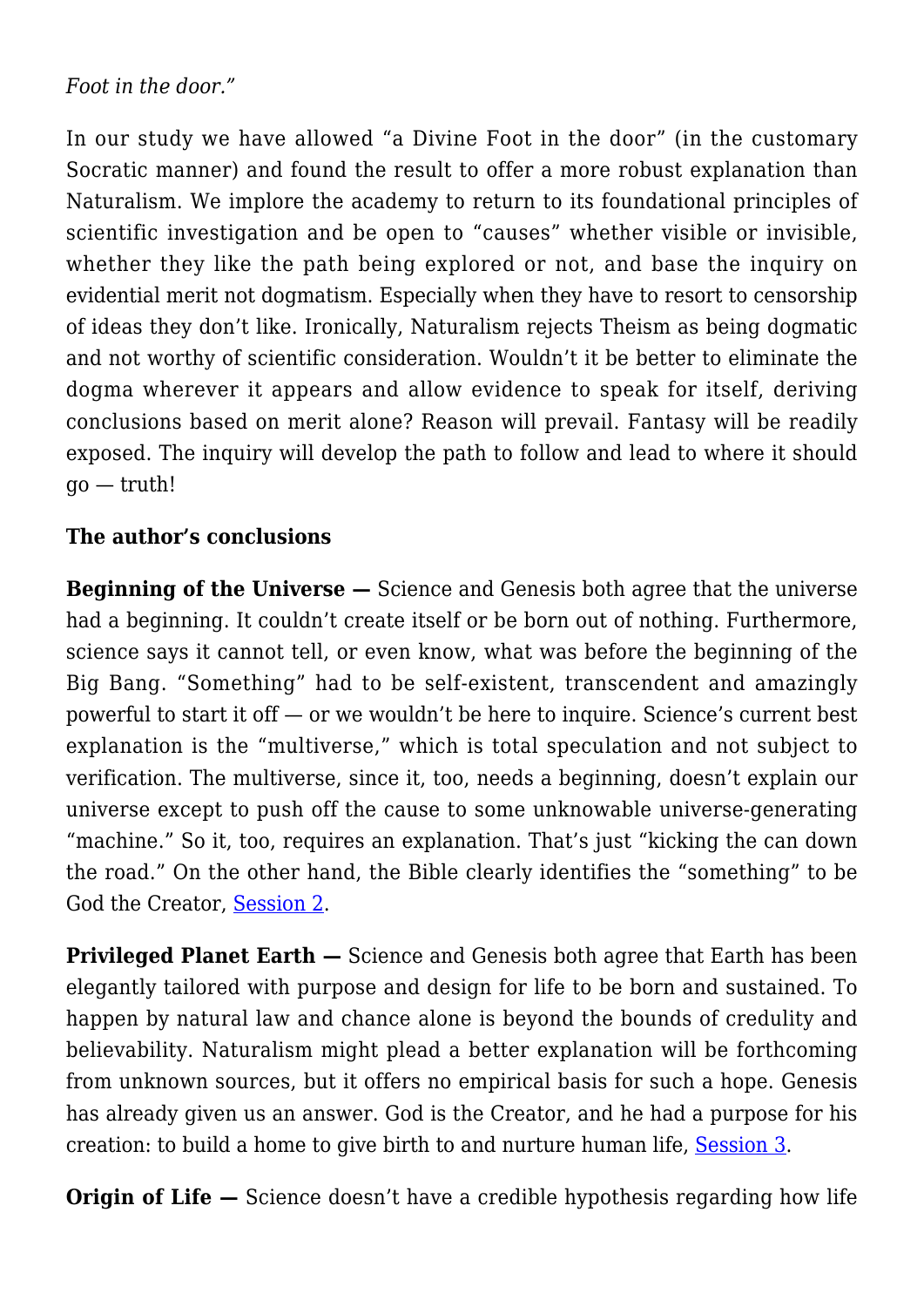*Foot in the door."*

In our study we have allowed "a Divine Foot in the door" (in the customary Socratic manner) and found the result to offer a more robust explanation than Naturalism. We implore the academy to return to its foundational principles of scientific investigation and be open to "causes" whether visible or invisible, whether they like the path being explored or not, and base the inquiry on evidential merit not dogmatism. Especially when they have to resort to censorship of ideas they don't like. Ironically, Naturalism rejects Theism as being dogmatic and not worthy of scientific consideration. Wouldn't it be better to eliminate the dogma wherever it appears and allow evidence to speak for itself, deriving conclusions based on merit alone? Reason will prevail. Fantasy will be readily exposed. The inquiry will develop the path to follow and lead to where it should  $\alpha$ <sup>o</sup> — truth!

#### **The author's conclusions**

**Beginning of the Universe —** Science and Genesis both agree that the universe had a beginning. It couldn't create itself or be born out of nothing. Furthermore, science says it cannot tell, or even know, what was before the beginning of the Big Bang. "Something" had to be self-existent, transcendent and amazingly powerful to start it off — or we wouldn't be here to inquire. Science's current best explanation is the "multiverse," which is total speculation and not subject to verification. The multiverse, since it, too, needs a beginning, doesn't explain our universe except to push off the cause to some unknowable universe-generating "machine." So it, too, requires an explanation. That's just "kicking the can down the road." On the other hand, the Bible clearly identifies the "something" to be God the Creator, [Session 2.](http://socratesatsaddlebrooke.club/topics/beginning-of-the-universe/)

**Privileged Planet Earth —** Science and Genesis both agree that Earth has been elegantly tailored with purpose and design for life to be born and sustained. To happen by natural law and chance alone is beyond the bounds of credulity and believability. Naturalism might plead a better explanation will be forthcoming from unknown sources, but it offers no empirical basis for such a hope. Genesis has already given us an answer. God is the Creator, and he had a purpose for his creation: to build a home to give birth to and nurture human life, [Session 3.](http://socratesatsaddlebrooke.club/topics/privileged-planet-earth/)

**Origin of Life –** Science doesn't have a credible hypothesis regarding how life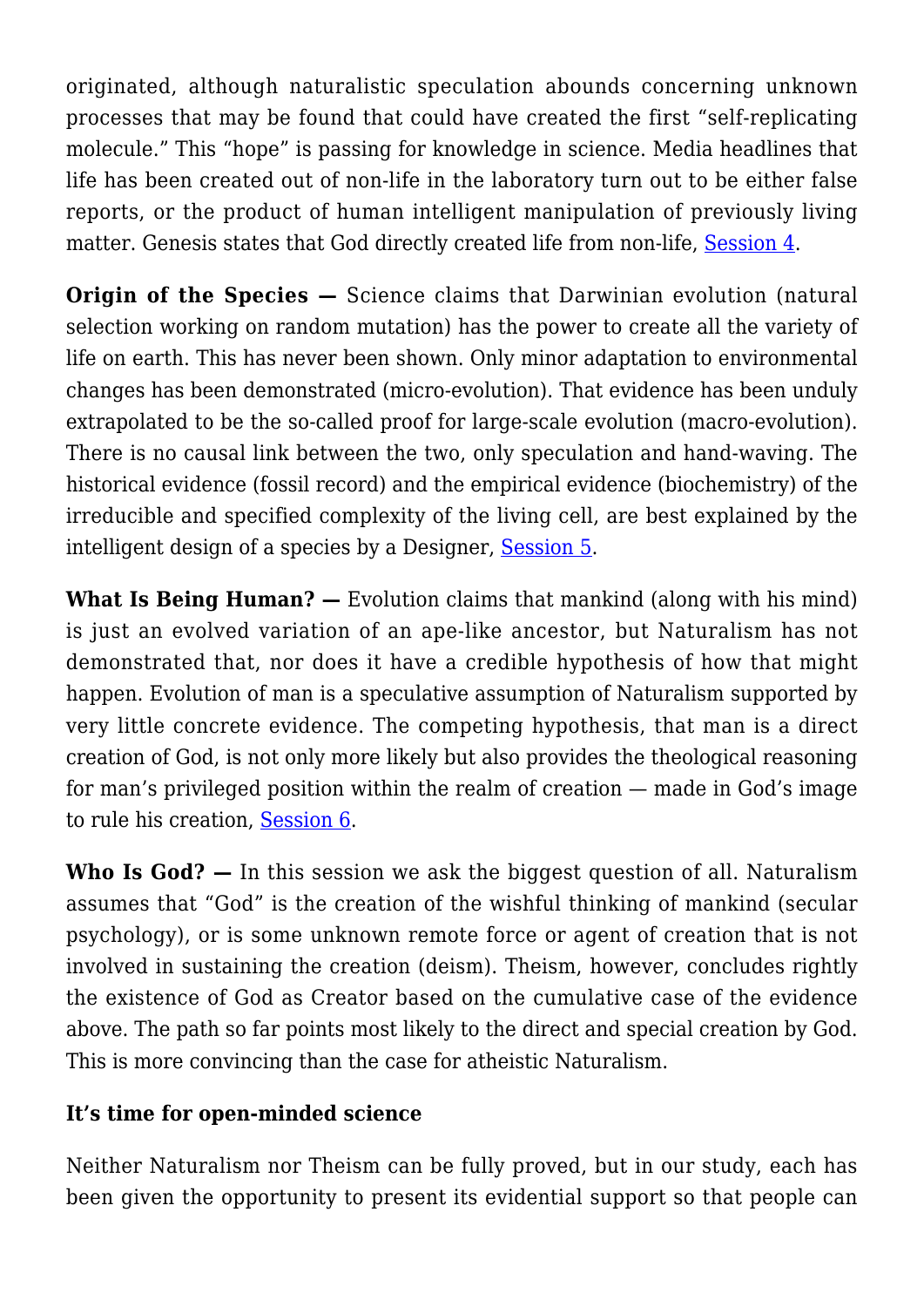originated, although naturalistic speculation abounds concerning unknown processes that may be found that could have created the first "self-replicating molecule." This "hope" is passing for knowledge in science. Media headlines that life has been created out of non-life in the laboratory turn out to be either false reports, or the product of human intelligent manipulation of previously living matter. Genesis states that God directly created life from non-life, [Session 4](http://socratesatsaddlebrooke.club/topics/origin-of-life/).

**Origin of the Species –** Science claims that Darwinian evolution (natural selection working on random mutation) has the power to create all the variety of life on earth. This has never been shown. Only minor adaptation to environmental changes has been demonstrated (micro-evolution). That evidence has been unduly extrapolated to be the so-called proof for large-scale evolution (macro-evolution). There is no causal link between the two, only speculation and hand-waving. The historical evidence (fossil record) and the empirical evidence (biochemistry) of the irreducible and specified complexity of the living cell, are best explained by the intelligent design of a species by a Designer, [Session 5](http://socratesatsaddlebrooke.club/topics/origin-of-the-speciess/).

**What Is Being Human? —** Evolution claims that mankind (along with his mind) is just an evolved variation of an ape-like ancestor, but Naturalism has not demonstrated that, nor does it have a credible hypothesis of how that might happen. Evolution of man is a speculative assumption of Naturalism supported by very little concrete evidence. The competing hypothesis, that man is a direct creation of God, is not only more likely but also provides the theological reasoning for man's privileged position within the realm of creation — made in God's image to rule his creation, [Session 6](http://socratesatsaddlebrooke.club/topics/what-is-man/).

**Who Is God? —** In this session we ask the biggest question of all. Naturalism assumes that "God" is the creation of the wishful thinking of mankind (secular psychology), or is some unknown remote force or agent of creation that is not involved in sustaining the creation (deism). Theism, however, concludes rightly the existence of God as Creator based on the cumulative case of the evidence above. The path so far points most likely to the direct and special creation by God. This is more convincing than the case for atheistic Naturalism.

## **It's time for open-minded science**

Neither Naturalism nor Theism can be fully proved, but in our study, each has been given the opportunity to present its evidential support so that people can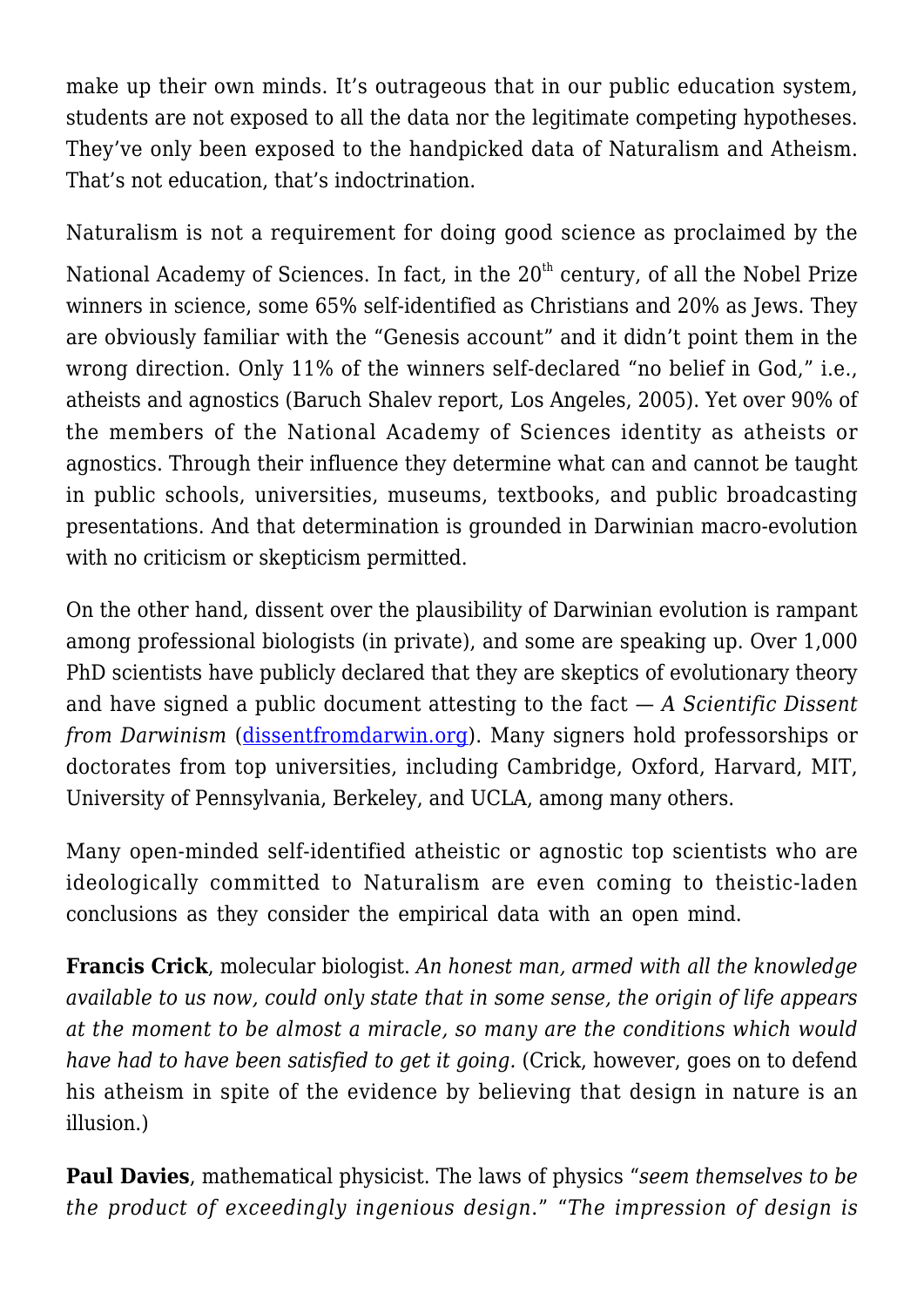make up their own minds. It's outrageous that in our public education system, students are not exposed to all the data nor the legitimate competing hypotheses. They've only been exposed to the handpicked data of Naturalism and Atheism. That's not education, that's indoctrination.

Naturalism is not a requirement for doing good science as proclaimed by the National Academy of Sciences. In fact, in the 20<sup>th</sup> century, of all the Nobel Prize winners in science, some 65% self-identified as Christians and 20% as Jews. They are obviously familiar with the "Genesis account" and it didn't point them in the wrong direction. Only 11% of the winners self-declared "no belief in God," i.e., atheists and agnostics (Baruch Shalev report, Los Angeles, 2005). Yet over 90% of the members of the National Academy of Sciences identity as atheists or agnostics. Through their influence they determine what can and cannot be taught in public schools, universities, museums, textbooks, and public broadcasting presentations. And that determination is grounded in Darwinian macro-evolution with no criticism or skepticism permitted.

On the other hand, dissent over the plausibility of Darwinian evolution is rampant among professional biologists (in private), and some are speaking up. Over 1,000 PhD scientists have publicly declared that they are skeptics of evolutionary theory and have signed a public document attesting to the fact — *A Scientific Dissent from Darwinism* [\(dissentfromdarwin.org\)](http://dissentfromdarwin.org). Many signers hold professorships or doctorates from top universities, including Cambridge, Oxford, Harvard, MIT, University of Pennsylvania, Berkeley, and UCLA, among many others.

Many open-minded self-identified atheistic or agnostic top scientists who are ideologically committed to Naturalism are even coming to theistic-laden conclusions as they consider the empirical data with an open mind.

**Francis Crick**, molecular biologist. *An honest man, armed with all the knowledge available to us now, could only state that in some sense, the origin of life appears at the moment to be almost a miracle, so many are the conditions which would have had to have been satisfied to get it going.* (Crick, however, goes on to defend his atheism in spite of the evidence by believing that design in nature is an illusion.)

**Paul Davies**, mathematical physicist. The laws of physics "*seem themselves to be the product of exceedingly ingenious design*." "*The impression of design is*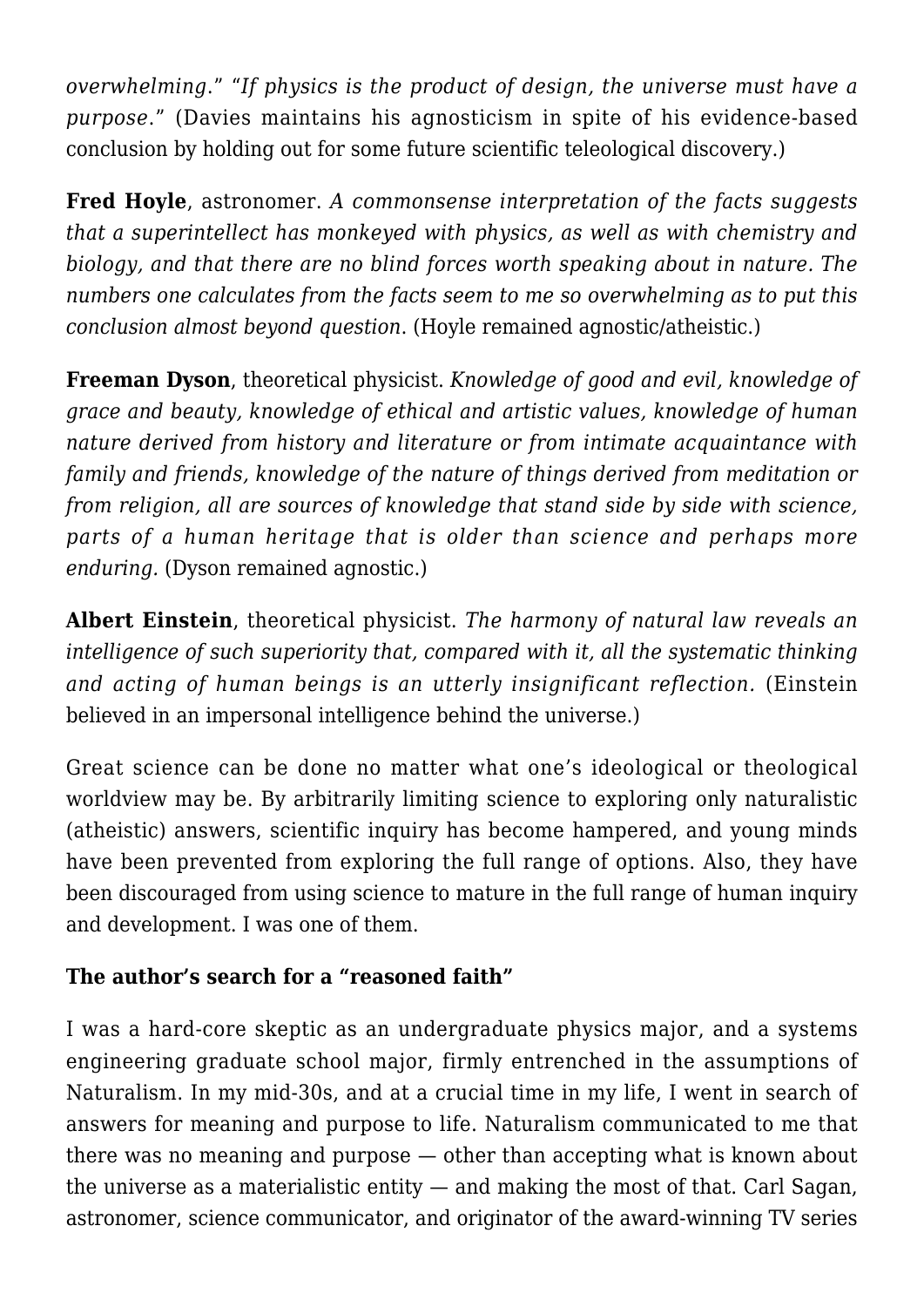*overwhelming*." "*If physics is the product of design, the universe must have a purpose*." (Davies maintains his agnosticism in spite of his evidence-based conclusion by holding out for some future scientific teleological discovery.)

**Fred Hoyle**, astronomer. *A commonsense interpretation of the facts suggests that a superintellect has monkeyed with physics, as well as with chemistry and biology, and that there are no blind forces worth speaking about in nature. The numbers one calculates from the facts seem to me so overwhelming as to put this conclusion almost beyond question*. (Hoyle remained agnostic/atheistic.)

**Freeman Dyson**, theoretical physicist. *Knowledge of good and evil, knowledge of grace and beauty, knowledge of ethical and artistic values, knowledge of human nature derived from history and literature or from intimate acquaintance with family and friends, knowledge of the nature of things derived from meditation or from religion, all are sources of knowledge that stand side by side with science, parts of a human heritage that is older than science and perhaps more enduring.* (Dyson remained agnostic.)

**Albert Einstein**, theoretical physicist. *The harmony of natural law reveals an intelligence of such superiority that, compared with it, all the systematic thinking and acting of human beings is an utterly insignificant reflection.* (Einstein believed in an impersonal intelligence behind the universe.)

Great science can be done no matter what one's ideological or theological worldview may be. By arbitrarily limiting science to exploring only naturalistic (atheistic) answers, scientific inquiry has become hampered, and young minds have been prevented from exploring the full range of options. Also, they have been discouraged from using science to mature in the full range of human inquiry and development. I was one of them.

## **The author's search for a "reasoned faith"**

I was a hard-core skeptic as an undergraduate physics major, and a systems engineering graduate school major, firmly entrenched in the assumptions of Naturalism. In my mid-30s, and at a crucial time in my life, I went in search of answers for meaning and purpose to life. Naturalism communicated to me that there was no meaning and purpose — other than accepting what is known about the universe as a materialistic entity — and making the most of that. Carl Sagan, astronomer, science communicator, and originator of the award-winning TV series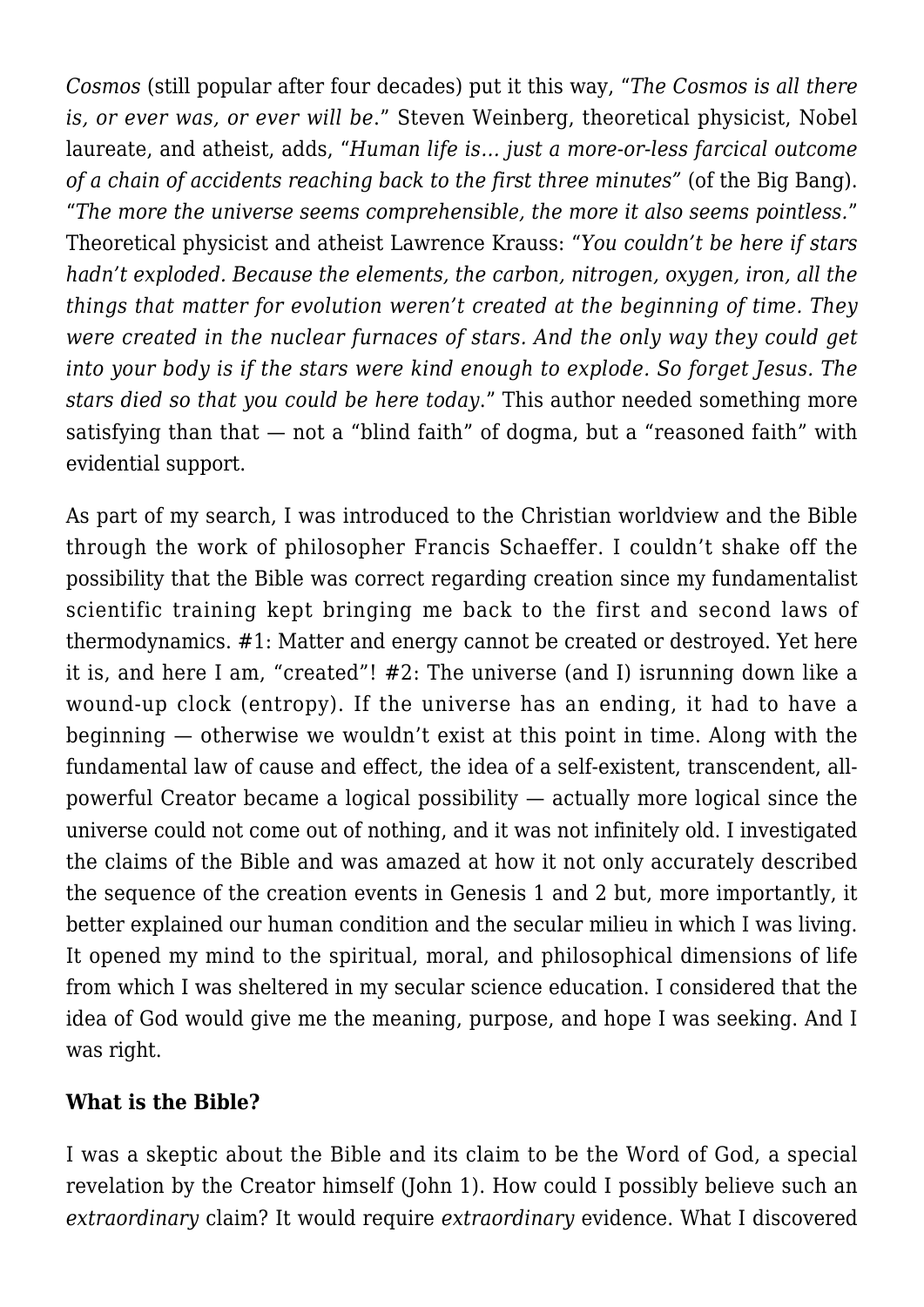*Cosmos* (still popular after four decades) put it this way, "*The Cosmos is all there is, or ever was, or ever will be*." Steven Weinberg, theoretical physicist, Nobel laureate, and atheist, adds, "*Human life is… just a more-or-less farcical outcome of a chain of accidents reaching back to the first three minutes"* (of the Big Bang). "*The more the universe seems comprehensible, the more it also seems pointless.*" Theoretical physicist and atheist Lawrence Krauss: "*You couldn't be here if stars hadn't exploded. Because the elements, the carbon, nitrogen, oxygen, iron, all the things that matter for evolution weren't created at the beginning of time. They were created in the nuclear furnaces of stars. And the only way they could get into your body is if the stars were kind enough to explode. So forget Jesus. The stars died so that you could be here today*." This author needed something more satisfying than that — not a "blind faith" of dogma, but a "reasoned faith" with evidential support.

As part of my search, I was introduced to the Christian worldview and the Bible through the work of philosopher Francis Schaeffer. I couldn't shake off the possibility that the Bible was correct regarding creation since my fundamentalist scientific training kept bringing me back to the first and second laws of thermodynamics. #1: Matter and energy cannot be created or destroyed. Yet here it is, and here I am, "created"! #2: The universe (and I) isrunning down like a wound-up clock (entropy). If the universe has an ending, it had to have a beginning — otherwise we wouldn't exist at this point in time. Along with the fundamental law of cause and effect, the idea of a self-existent, transcendent, allpowerful Creator became a logical possibility — actually more logical since the universe could not come out of nothing, and it was not infinitely old. I investigated the claims of the Bible and was amazed at how it not only accurately described the sequence of the creation events in Genesis 1 and 2 but, more importantly, it better explained our human condition and the secular milieu in which I was living. It opened my mind to the spiritual, moral, and philosophical dimensions of life from which I was sheltered in my secular science education. I considered that the idea of God would give me the meaning, purpose, and hope I was seeking. And I was right.

### **What is the Bible?**

I was a skeptic about the Bible and its claim to be the Word of God, a special revelation by the Creator himself (John 1). How could I possibly believe such an *extraordinary* claim? It would require *extraordinary* evidence. What I discovered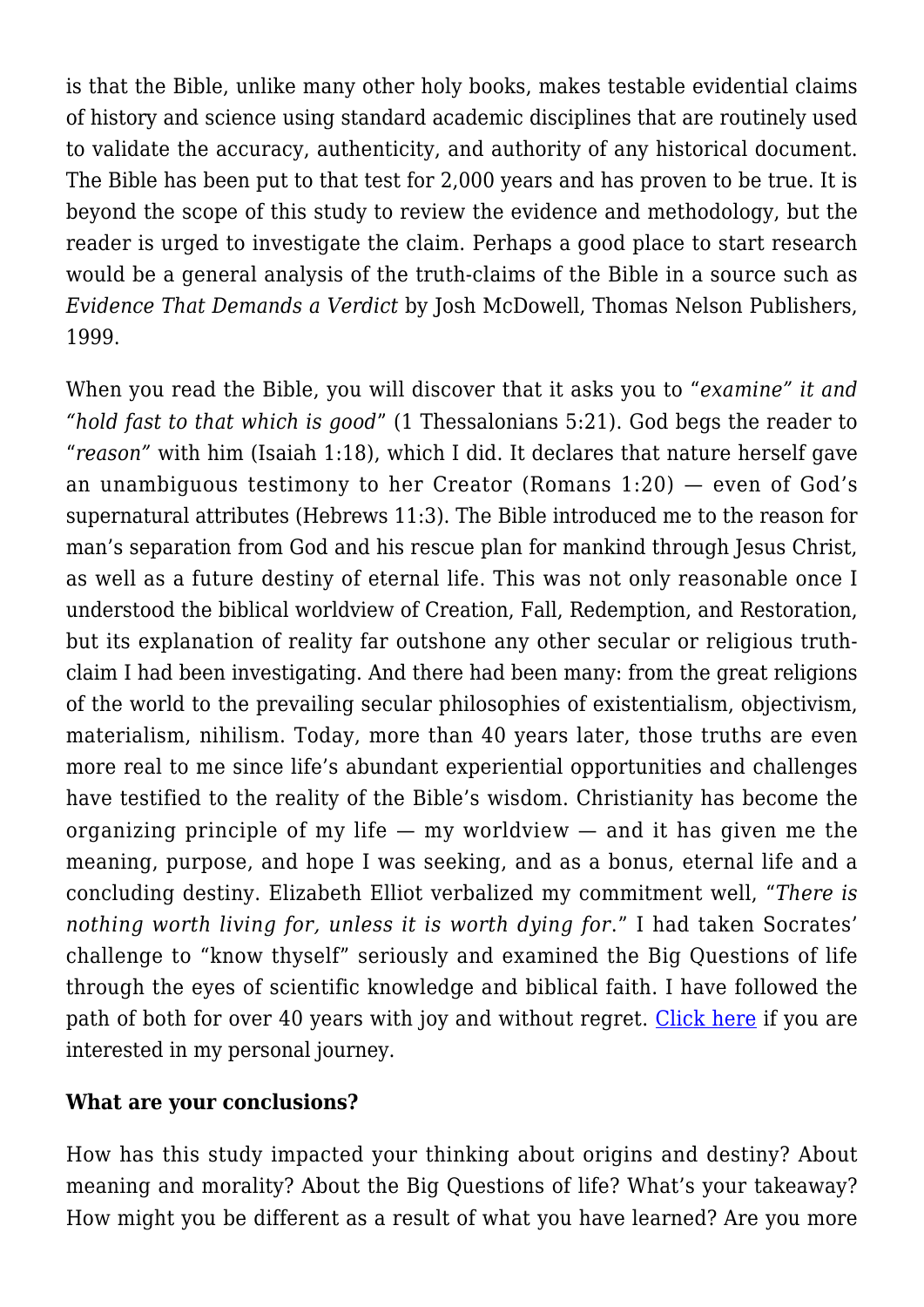is that the Bible, unlike many other holy books, makes testable evidential claims of history and science using standard academic disciplines that are routinely used to validate the accuracy, authenticity, and authority of any historical document. The Bible has been put to that test for 2,000 years and has proven to be true. It is beyond the scope of this study to review the evidence and methodology, but the reader is urged to investigate the claim. Perhaps a good place to start research would be a general analysis of the truth-claims of the Bible in a source such as *Evidence That Demands a Verdict* by Josh McDowell, Thomas Nelson Publishers, 1999.

When you read the Bible, you will discover that it asks you to "*examine" it and "hold fast to that which is good*" (1 Thessalonians 5:21). God begs the reader to "*reason"* with him (Isaiah 1:18), which I did. It declares that nature herself gave an unambiguous testimony to her Creator (Romans 1:20) — even of God's supernatural attributes (Hebrews 11:3). The Bible introduced me to the reason for man's separation from God and his rescue plan for mankind through Jesus Christ, as well as a future destiny of eternal life. This was not only reasonable once I understood the biblical worldview of Creation, Fall, Redemption, and Restoration, but its explanation of reality far outshone any other secular or religious truthclaim I had been investigating. And there had been many: from the great religions of the world to the prevailing secular philosophies of existentialism, objectivism, materialism, nihilism. Today, more than 40 years later, those truths are even more real to me since life's abundant experiential opportunities and challenges have testified to the reality of the Bible's wisdom. Christianity has become the organizing principle of my life  $-$  my worldview  $-$  and it has given me the meaning, purpose, and hope I was seeking, and as a bonus, eternal life and a concluding destiny. Elizabeth Elliot verbalized my commitment well, "*There is nothing worth living for, unless it is worth dying for*." I had taken Socrates' challenge to "know thyself" seriously and examined the Big Questions of life through the eyes of scientific knowledge and biblical faith. I have followed the path of both for over 40 years with joy and without regret. [Click here](http://socratesatsaddlebrooke.club/personal-journey/) if you are interested in my personal journey.

### **What are your conclusions?**

How has this study impacted your thinking about origins and destiny? About meaning and morality? About the Big Questions of life? What's your takeaway? How might you be different as a result of what you have learned? Are you more